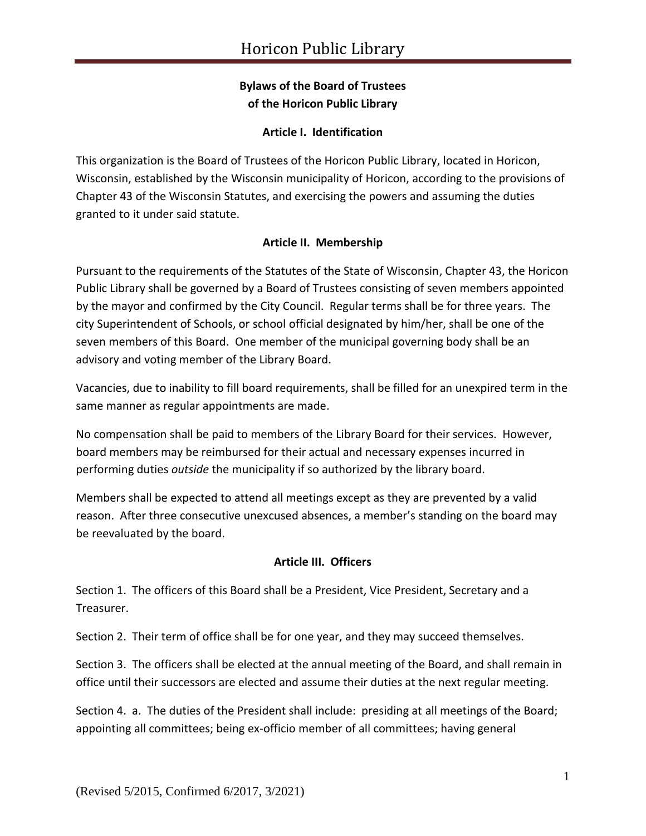# **Bylaws of the Board of Trustees of the Horicon Public Library**

### **Article I. Identification**

This organization is the Board of Trustees of the Horicon Public Library, located in Horicon, Wisconsin, established by the Wisconsin municipality of Horicon, according to the provisions of Chapter 43 of the Wisconsin Statutes, and exercising the powers and assuming the duties granted to it under said statute.

## **Article II. Membership**

Pursuant to the requirements of the Statutes of the State of Wisconsin, Chapter 43, the Horicon Public Library shall be governed by a Board of Trustees consisting of seven members appointed by the mayor and confirmed by the City Council. Regular terms shall be for three years. The city Superintendent of Schools, or school official designated by him/her, shall be one of the seven members of this Board. One member of the municipal governing body shall be an advisory and voting member of the Library Board.

Vacancies, due to inability to fill board requirements, shall be filled for an unexpired term in the same manner as regular appointments are made.

No compensation shall be paid to members of the Library Board for their services. However, board members may be reimbursed for their actual and necessary expenses incurred in performing duties *outside* the municipality if so authorized by the library board.

Members shall be expected to attend all meetings except as they are prevented by a valid reason. After three consecutive unexcused absences, a member's standing on the board may be reevaluated by the board.

### **Article III. Officers**

Section 1. The officers of this Board shall be a President, Vice President, Secretary and a Treasurer.

Section 2. Their term of office shall be for one year, and they may succeed themselves.

Section 3. The officers shall be elected at the annual meeting of the Board, and shall remain in office until their successors are elected and assume their duties at the next regular meeting.

Section 4. a. The duties of the President shall include: presiding at all meetings of the Board; appointing all committees; being ex-officio member of all committees; having general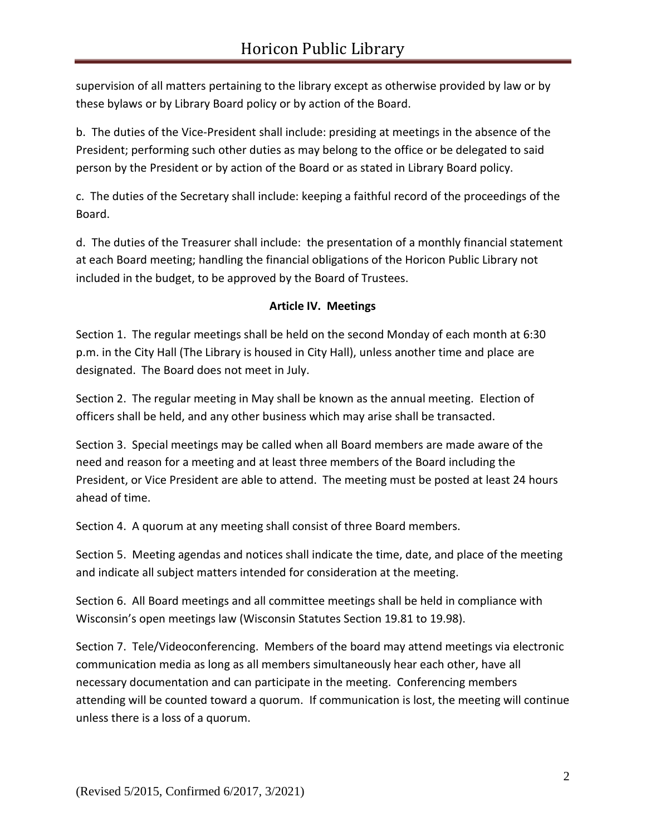supervision of all matters pertaining to the library except as otherwise provided by law or by these bylaws or by Library Board policy or by action of the Board.

b. The duties of the Vice-President shall include: presiding at meetings in the absence of the President; performing such other duties as may belong to the office or be delegated to said person by the President or by action of the Board or as stated in Library Board policy.

c. The duties of the Secretary shall include: keeping a faithful record of the proceedings of the Board.

d. The duties of the Treasurer shall include: the presentation of a monthly financial statement at each Board meeting; handling the financial obligations of the Horicon Public Library not included in the budget, to be approved by the Board of Trustees.

## **Article IV. Meetings**

Section 1. The regular meetings shall be held on the second Monday of each month at 6:30 p.m. in the City Hall (The Library is housed in City Hall), unless another time and place are designated. The Board does not meet in July.

Section 2. The regular meeting in May shall be known as the annual meeting. Election of officers shall be held, and any other business which may arise shall be transacted.

Section 3. Special meetings may be called when all Board members are made aware of the need and reason for a meeting and at least three members of the Board including the President, or Vice President are able to attend. The meeting must be posted at least 24 hours ahead of time.

Section 4. A quorum at any meeting shall consist of three Board members.

Section 5. Meeting agendas and notices shall indicate the time, date, and place of the meeting and indicate all subject matters intended for consideration at the meeting.

Section 6. All Board meetings and all committee meetings shall be held in compliance with Wisconsin's open meetings law (Wisconsin Statutes Section 19.81 to 19.98).

Section 7. Tele/Videoconferencing. Members of the board may attend meetings via electronic communication media as long as all members simultaneously hear each other, have all necessary documentation and can participate in the meeting. Conferencing members attending will be counted toward a quorum. If communication is lost, the meeting will continue unless there is a loss of a quorum.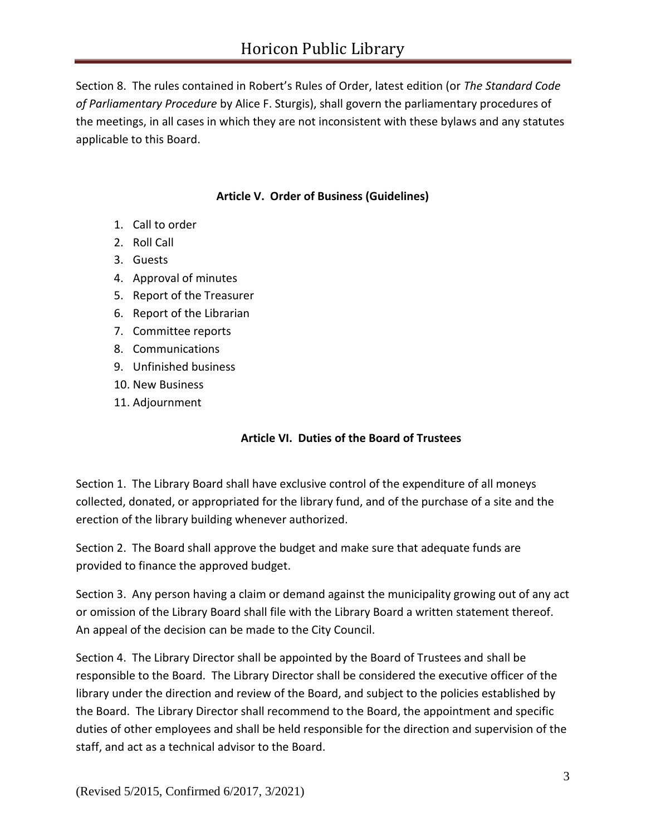Section 8. The rules contained in Robert's Rules of Order, latest edition (or *The Standard Code of Parliamentary Procedure* by Alice F. Sturgis), shall govern the parliamentary procedures of the meetings, in all cases in which they are not inconsistent with these bylaws and any statutes applicable to this Board.

## **Article V. Order of Business (Guidelines)**

- 1. Call to order
- 2. Roll Call
- 3. Guests
- 4. Approval of minutes
- 5. Report of the Treasurer
- 6. Report of the Librarian
- 7. Committee reports
- 8. Communications
- 9. Unfinished business
- 10. New Business
- 11. Adjournment

### **Article VI. Duties of the Board of Trustees**

Section 1. The Library Board shall have exclusive control of the expenditure of all moneys collected, donated, or appropriated for the library fund, and of the purchase of a site and the erection of the library building whenever authorized.

Section 2. The Board shall approve the budget and make sure that adequate funds are provided to finance the approved budget.

Section 3. Any person having a claim or demand against the municipality growing out of any act or omission of the Library Board shall file with the Library Board a written statement thereof. An appeal of the decision can be made to the City Council.

Section 4. The Library Director shall be appointed by the Board of Trustees and shall be responsible to the Board. The Library Director shall be considered the executive officer of the library under the direction and review of the Board, and subject to the policies established by the Board. The Library Director shall recommend to the Board, the appointment and specific duties of other employees and shall be held responsible for the direction and supervision of the staff, and act as a technical advisor to the Board.